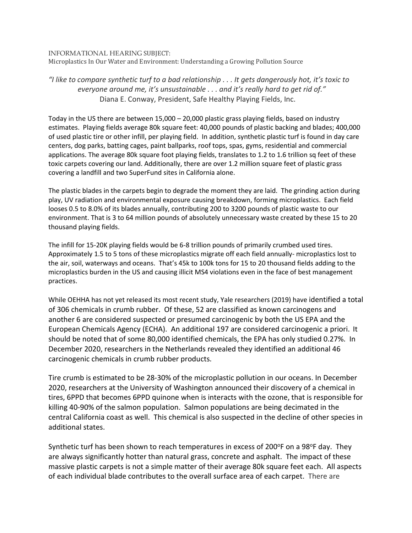## INFORMATIONAL HEARING SUBJECT:

Microplastics In Our Water and Environment: Understanding a Growing Pollution Source

## *"I like to compare synthetic turf to a bad relationship . . . It gets dangerously hot, it's toxic to everyone around me, it's unsustainable . . . and it's really hard to get rid of."* Diana E. Conway, President, Safe Healthy Playing Fields, Inc.

Today in the US there are between 15,000 – 20,000 plastic grass playing fields, based on industry estimates. Playing fields average 80k square feet: 40,000 pounds of plastic backing and blades; 400,000 of used plastic tire or other infill, per playing field. In addition, synthetic plastic turf is found in day care centers, dog parks, batting cages, paint ballparks, roof tops, spas, gyms, residential and commercial applications. The average 80k square foot playing fields, translates to 1.2 to 1.6 trillion sq feet of these toxic carpets covering our land. Additionally, there are over 1.2 million square feet of plastic grass covering a landfill and two SuperFund sites in California alone.

The plastic blades in the carpets begin to degrade the moment they are laid. The grinding action during play, UV radiation and environmental exposure causing breakdown, forming microplastics. Each field looses 0.5 to 8.0% of its blades annually, contributing 200 to 3200 pounds of plastic waste to our environment. That is 3 to 64 million pounds of absolutely unnecessary waste created by these 15 to 20 thousand playing fields.

The infill for 15-20K playing fields would be 6-8 trillion pounds of primarily crumbed used tires. Approximately 1.5 to 5 tons of these microplastics migrate off each field annually- microplastics lost to the air, soil, waterways and oceans. That's 45k to 100k tons for 15 to 20 thousand fields adding to the microplastics burden in the US and causing illicit MS4 violations even in the face of best management practices.

While OEHHA has not yet released its most recent study, Yale researchers (2019) have identified a total of 306 chemicals in crumb rubber. Of these, 52 are classified as known carcinogens and another 6 are considered suspected or presumed carcinogenic by both the US EPA and the European Chemicals Agency (ECHA). An additional 197 are considered carcinogenic a priori. It should be noted that of some 80,000 identified chemicals, the EPA has only studied 0.27%. In December 2020, researchers in the Netherlands revealed they identified an additional 46 carcinogenic chemicals in crumb rubber products.

Tire crumb is estimated to be 28-30% of the microplastic pollution in our oceans. In December 2020, researchers at the University of Washington announced their discovery of a chemical in tires, 6PPD that becomes 6PPD quinone when is interacts with the ozone, that is responsible for killing 40-90% of the salmon population. Salmon populations are being decimated in the central California coast as well. This chemical is also suspected in the decline of other species in additional states.

Synthetic turf has been shown to reach temperatures in excess of 200 $\degree$ F on a 98 $\degree$ F day. They are always significantly hotter than natural grass, concrete and asphalt. The impact of these massive plastic carpets is not a simple matter of their average 80k square feet each. All aspects of each individual blade contributes to the overall surface area of each carpet. There are